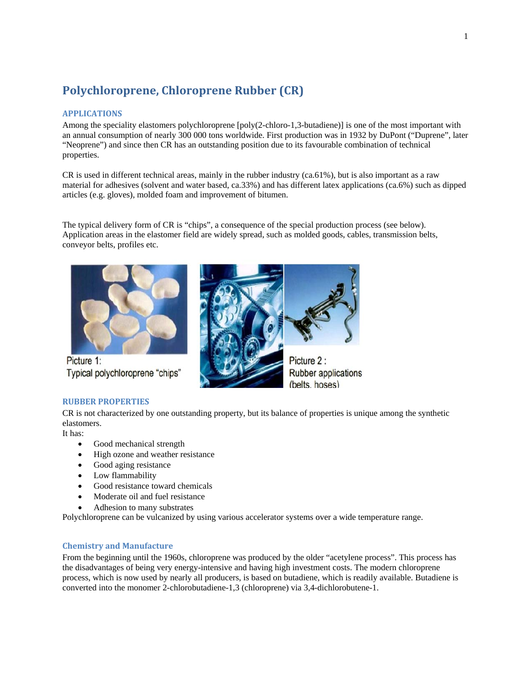# **Polychloroprene, Chloroprene Rubber (CR)**

# **APPLICATIONS**

Among the speciality elastomers polychloroprene [poly(2-chloro-1,3-butadiene)] is one of the most important with an annual consumption of nearly 300 000 tons worldwide. First production was in 1932 by DuPont ("Duprene", later "Neoprene") and since then CR has an outstanding position due to its favourable combination of technical properties.

CR is used in different technical areas, mainly in the rubber industry (ca.61%), but is also important as a raw material for adhesives (solvent and water based, ca.33%) and has different latex applications (ca.6%) such as dipped articles (e.g. gloves), molded foam and improvement of bitumen.

The typical delivery form of CR is "chips", a consequence of the special production process (see below). Application areas in the elastomer field are widely spread, such as molded goods, cables, transmission belts, conveyor belts, profiles etc.



Picture 1: Typical polychloroprene "chips"

## **RUBBER PROPERTIES**

CR is not characterized by one outstanding property, but its balance of properties is unique among the synthetic elastomers.

It has:

- Good mechanical strength
- High ozone and weather resistance
- Good aging resistance
- Low flammability
- Good resistance toward chemicals
- Moderate oil and fuel resistance
- Adhesion to many substrates

Polychloroprene can be vulcanized by using various accelerator systems over a wide temperature range.

# **Chemistry and Manufacture**

From the beginning until the 1960s, chloroprene was produced by the older "acetylene process". This process has the disadvantages of being very energy-intensive and having high investment costs. The modern chloroprene process, which is now used by nearly all producers, is based on butadiene, which is readily available. Butadiene is converted into the monomer 2-chlorobutadiene-1,3 (chloroprene) via 3,4-dichlorobutene-1.



(belts, hoses)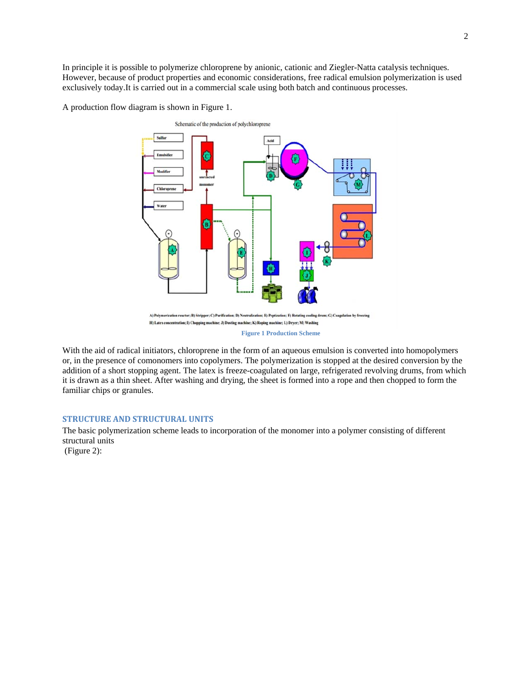In principle it is possible to polymerize chloroprene by anionic, cationic and Ziegler-Natta catalysis techniques. However, because of product properties and economic considerations, free radical emulsion polymerization is used exclusively today.It is carried out in a commercial scale using both batch and continuous processes.

A production flow diagram is shown in Figure 1.



A) Polymerization reactor; B) Stripper; C) Purification; D) Neutralization; E) Peptization; F) Rotating cooling drum; G) Coagulation by freezing H) Latex concentration; I) Chopping machine; J) Dusting machine; K) Roping machine; L) Dryer; M) Washing

With the aid of radical initiators, chloroprene in the form of an aqueous emulsion is converted into homopolymers or, in the presence of comonomers into copolymers. The polymerization is stopped at the desired conversion by the addition of a short stopping agent. The latex is freeze-coagulated on large, refrigerated revolving drums, from which it is drawn as a thin sheet. After washing and drying, the sheet is formed into a rope and then chopped to form the familiar chips or granules.

## **STRUCTURE AND STRUCTURAL UNITS**

The basic polymerization scheme leads to incorporation of the monomer into a polymer consisting of different structural units

(Figure 2):

**Figure 1 Production Scheme**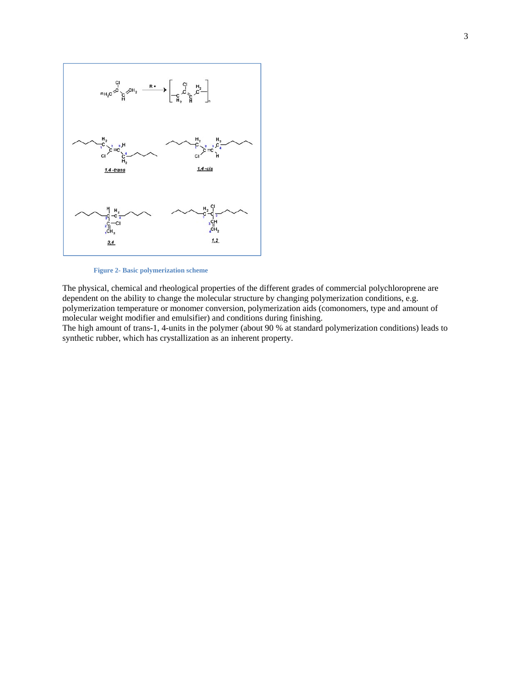

**Figure 2- Basic polymerization scheme** 

The physical, chemical and rheological properties of the different grades of commercial polychloroprene are dependent on the ability to change the molecular structure by changing polymerization conditions, e.g. polymerization temperature or monomer conversion, polymerization aids (comonomers, type and amount of molecular weight modifier and emulsifier) and conditions during finishing.

The high amount of trans-1, 4-units in the polymer (about 90 % at standard polymerization conditions) leads to synthetic rubber, which has crystallization as an inherent property.